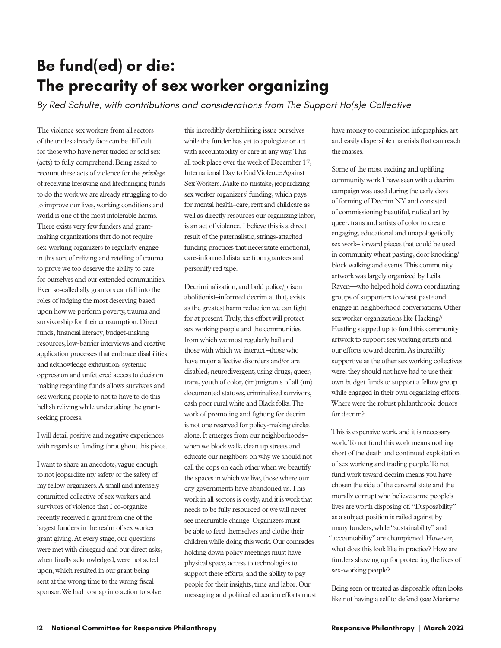## **Be fund(ed) or die: The precarity of sex worker organizing**

*By Red Schulte, with contributions and considerations from The Support Ho(s)e Collective* 

The violence sex workers from all sectors of the trades already face can be difficult for those who have never traded or sold sex (acts) to fully comprehend. Being asked to recount these acts of violence for the *privilege* of receiving lifesaving and lifechanging funds to do the work we are already struggling to do to improve our lives, working conditions and world is one of the most intolerable harms. There exists very few funders and grantmaking organizations that do not require sex-working organizers to regularly engage in this sort of reliving and retelling of trauma to prove we too deserve the ability to care for ourselves and our extended communities. Even so-called ally grantors can fall into the roles of judging the most deserving based upon how we perform poverty, trauma and survivorship for their consumption. Direct funds, financial literacy, budget-making resources, low-barrier interviews and creative application processes that embrace disabilities and acknowledge exhaustion, systemic oppression and unfettered access to decision making regarding funds allows survivors and sex working people to not to have to do this hellish reliving while undertaking the grantseeking process.

I will detail positive and negative experiences with regards to funding throughout this piece.

I want to share an anecdote, vague enough to not jeopardize my safety or the safety of my fellow organizers. A small and intensely committed collective of sex workers and survivors of violence that I co-organize recently received a grant from one of the largest funders in the realm of sex worker grant giving. At every stage, our questions were met with disregard and our direct asks, when finally acknowledged, were not acted upon, which resulted in our grant being sent at the wrong time to the wrong fiscal sponsor. We had to snap into action to solve

this incredibly destabilizing issue ourselves while the funder has yet to apologize or act with accountability or care in any way. This all took place over the week of December 17, International Day to End Violence Against Sex Workers. Make no mistake, jeopardizing sex worker organizers' funding, which pays for mental health–care, rent and childcare as well as directly resources our organizing labor, is an act of violence. I believe this is a direct result of the paternalistic, strings-attached funding practices that necessitate emotional, care-informed distance from grantees and personify red tape.

Decriminalization, and bold police/prison abolitionist–informed decrim at that, exists as the greatest harm reduction we can fight for at present. Truly, this effort will protect sex working people and the communities from which we most regularly hail and those with which we interact –those who have major affective disorders and/or are disabled, neurodivergent, using drugs, queer, trans, youth of color, (im)migrants of all (un) documented statuses, criminalized survivors, cash poor rural white and Black folks. The work of promoting and fighting for decrim is not one reserved for policy-making circles alone. It emerges from our neighborhoods– when we block walk, clean up streets and educate our neighbors on why we should not call the cops on each other when we beautify the spaces in which we live, those where our city governments have abandoned us. This work in all sectors is costly, and it is work that needs to be fully resourced or we will never see measurable change. Organizers must be able to feed themselves and clothe their children while doing this work. Our comrades holding down policy meetings must have physical space, access to technologies to support these efforts, and the ability to pay people for their insights, time and labor. Our messaging and political education efforts must have money to commission infographics, art and easily dispersible materials that can reach the masses.

Some of the most exciting and uplifting community work I have seen with a decrim campaign was used during the early days of forming of Decrim NY and consisted of commissioning beautiful, radical art by queer, trans and artists of color to create engaging, educational and unapologetically sex work–forward pieces that could be used in community wheat pasting, door knocking/ block walking and events. This community artwork was largely organized by Leila Raven—who helped hold down coordinating groups of supporters to wheat paste and engage in neighborhood conversations. Other sex worker organizations like Hacking// Hustling stepped up to fund this community artwork to support sex working artists and our efforts toward decrim. As incredibly supportive as the other sex working collectives were, they should not have had to use their own budget funds to support a fellow group while engaged in their own organizing efforts. Where were the robust philanthropic donors for decrim?

This is expensive work, and it is necessary work. To not fund this work means nothing short of the death and continued exploitation of sex working and trading people. To not fund work toward decrim means you have chosen the side of the carceral state and the morally corrupt who believe some people's lives are worth disposing of. "Disposability" as a subject position is railed against by many funders, while "sustainability" and "accountability" are championed. However, what does this look like in practice? How are funders showing up for protecting the lives of sex-working people?

Being seen or treated as disposable often looks like not having a self to defend (see Mariame